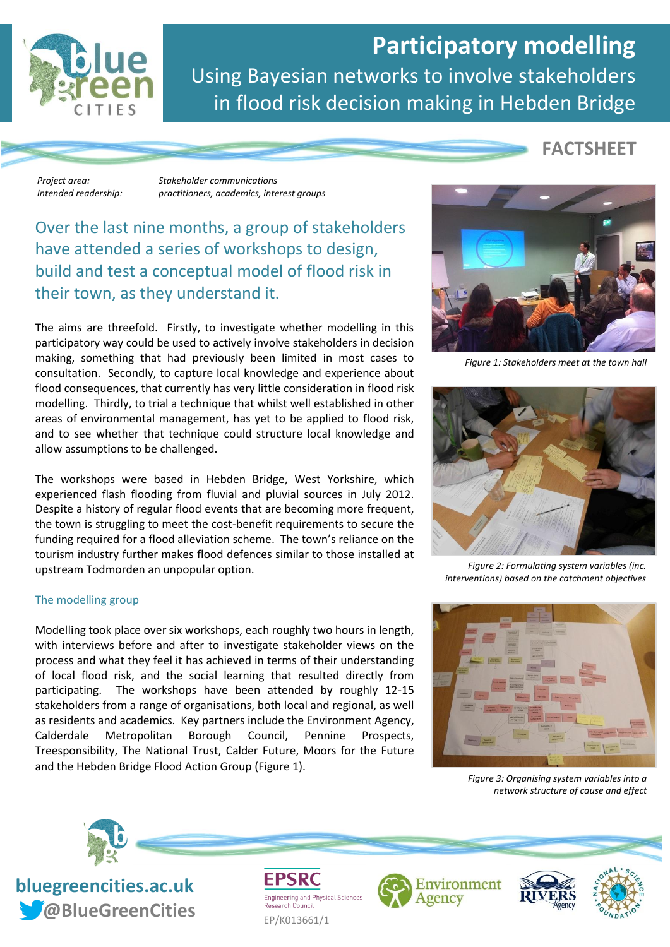

# **Participatory modelling** Using Bayesian networks to involve stakeholders in flood risk decision making in Hebden Bridge

**FACTSHEET**

*Project area: Stakeholder communications Intended readership: practitioners, academics, interest groups*

# Over the last nine months, a group of stakeholders have attended a series of workshops to design, build and test a conceptual model of flood risk in their town, as they understand it.

The aims are threefold. Firstly, to investigate whether modelling in this participatory way could be used to actively involve stakeholders in decision making, something that had previously been limited in most cases to consultation. Secondly, to capture local knowledge and experience about flood consequences, that currently has very little consideration in flood risk modelling. Thirdly, to trial a technique that whilst well established in other areas of environmental management, has yet to be applied to flood risk, and to see whether that technique could structure local knowledge and allow assumptions to be challenged.

The workshops were based in Hebden Bridge, West Yorkshire, which experienced flash flooding from fluvial and pluvial sources in July 2012. Despite a history of regular flood events that are becoming more frequent, the town is struggling to meet the cost-benefit requirements to secure the funding required for a flood alleviation scheme. The town's reliance on the tourism industry further makes flood defences similar to those installed at upstream Todmorden an unpopular option.

## The modelling group

Modelling took place over six workshops, each roughly two hours in length, with interviews before and after to investigate stakeholder views on the process and what they feel it has achieved in terms of their understanding of local flood risk, and the social learning that resulted directly from participating. The workshops have been attended by roughly 12-15 stakeholders from a range of organisations, both local and regional, as well as residents and academics. Key partners include the Environment Agency, Calderdale Metropolitan Borough Council, Pennine Prospects, Treesponsibility, The National Trust, Calder Future, Moors for the Future and the Hebden Bridge Flood Action Group (Figure 1).



*Figure 1: Stakeholders meet at the town hall*



*Figure 2: Formulating system variables (inc. interventions) based on the catchment objectives*



*Figure 3: Organising system variables into a network structure of cause and effect*



**bluegreencities.ac.uk** *Cobineral CreenCities* EP/K013661/1